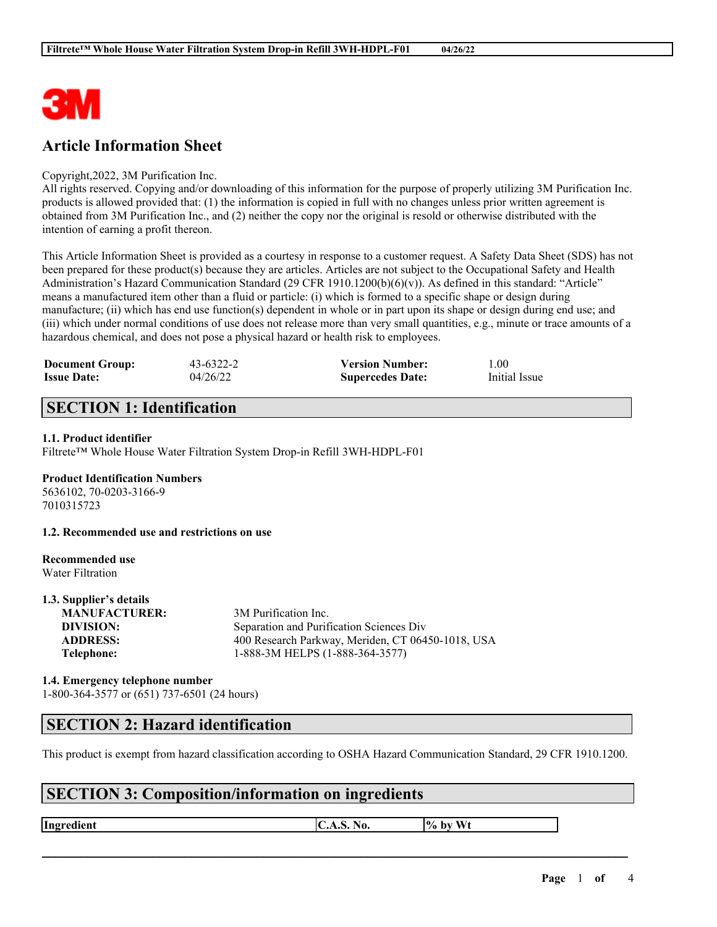

# **Article Information Sheet**

#### Copyright,2022, 3M Purification Inc.

All rights reserved. Copying and/or downloading of this information for the purpose of properly utilizing 3M Purification Inc. products is allowed provided that: (1) the information is copied in full with no changes unless prior written agreement is obtained from 3M Purification Inc., and (2) neither the copy nor the original is resold or otherwise distributed with the intention of earning a profit thereon.

This Article Information Sheet is provided as a courtesy in response to a customer request. A Safety Data Sheet (SDS) has not been prepared for these product(s) because they are articles. Articles are not subject to the Occupational Safety and Health Administration's Hazard Communication Standard (29 CFR 1910.1200(b)(6)(v)). As defined in this standard: "Article" means a manufactured item other than a fluid or particle: (i) which is formed to a specific shape or design during manufacture; (ii) which has end use function(s) dependent in whole or in part upon its shape or design during end use; and (iii) which under normal conditions of use does not release more than very small quantities, e.g., minute or trace amounts of a hazardous chemical, and does not pose a physical hazard or health risk to employees.

| <b>Document Group:</b> | $43 - 6322 - 2$ | <b>Version Number:</b>  | 1.00          |
|------------------------|-----------------|-------------------------|---------------|
| <b>Issue Date:</b>     | 04/26/22        | <b>Supercedes Date:</b> | Initial Issue |

# **SECTION 1: Identification**

### **1.1. Product identifier**

Filtrete™ Whole House Water Filtration System Drop-in Refill 3WH-HDPL-F01

### **Product Identification Numbers**

5636102, 70-0203-3166-9 7010315723

**1.2. Recommended use and restrictions on use**

#### **Recommended use** Water Filtration

**1.3. Supplier's details**

| 1.3. Supplier's details |                                                   |
|-------------------------|---------------------------------------------------|
| <b>MANUFACTURER:</b>    | 3M Purification Inc.                              |
| DIVISION:               | Separation and Purification Sciences Div          |
| <b>ADDRESS:</b>         | 400 Research Parkway, Meriden, CT 06450-1018, USA |
| Telephone:              | 1-888-3M HELPS (1-888-364-3577)                   |
|                         |                                                   |

### **1.4. Emergency telephone number** 1-800-364-3577 or (651) 737-6501 (24 hours)

### **SECTION 2: Hazard identification**

This product is exempt from hazard classification according to OSHA Hazard Communication Standard, 29 CFR 1910.1200.

 $\mathcal{L}_\mathcal{L} = \mathcal{L}_\mathcal{L} = \mathcal{L}_\mathcal{L} = \mathcal{L}_\mathcal{L} = \mathcal{L}_\mathcal{L} = \mathcal{L}_\mathcal{L} = \mathcal{L}_\mathcal{L} = \mathcal{L}_\mathcal{L} = \mathcal{L}_\mathcal{L} = \mathcal{L}_\mathcal{L} = \mathcal{L}_\mathcal{L} = \mathcal{L}_\mathcal{L} = \mathcal{L}_\mathcal{L} = \mathcal{L}_\mathcal{L} = \mathcal{L}_\mathcal{L} = \mathcal{L}_\mathcal{L} = \mathcal{L}_\mathcal{L}$ 

# **SECTION 3: Composition/information on ingredients**

**Ingredient C.A.S.** No.  $\begin{bmatrix} \phi & \phi \end{bmatrix}$  by Wt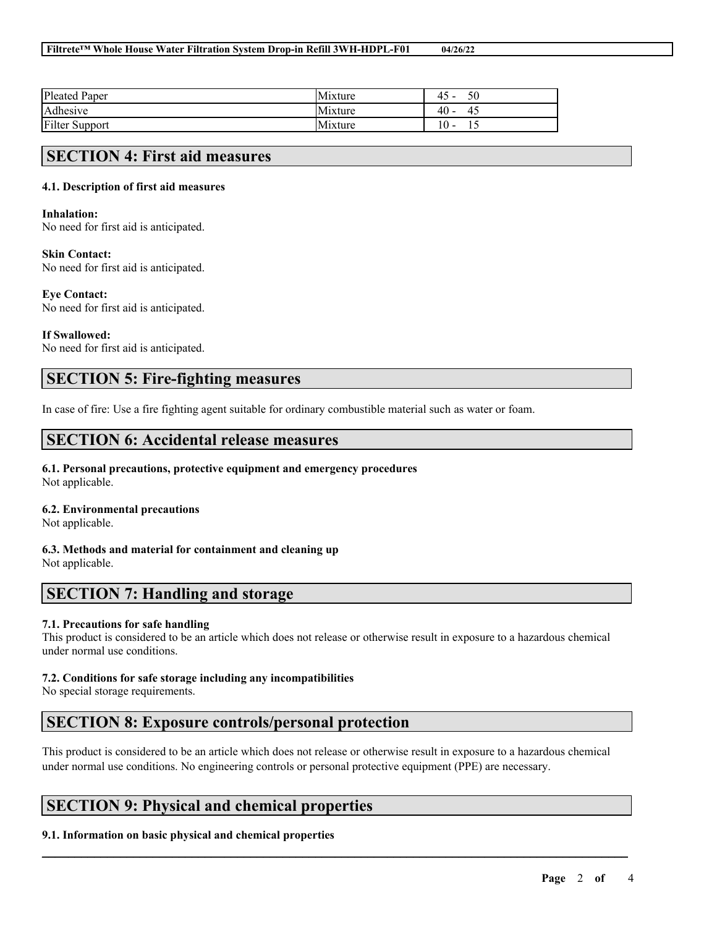| <b>Pleated Paper</b>  | Mixture | $\Lambda$ $\Gamma$<br>Ć<br>≄ ۱<br>. . |
|-----------------------|---------|---------------------------------------|
| Adhesive              | Mixture | 40 -<br>41                            |
| <b>Filter Support</b> | Mixture | ١O                                    |

### **SECTION 4: First aid measures**

### **4.1. Description of first aid measures**

#### **Inhalation:**

No need for first aid is anticipated.

### **Skin Contact:**

No need for first aid is anticipated.

#### **Eye Contact:**

No need for first aid is anticipated.

### **If Swallowed:**

No need for first aid is anticipated.

# **SECTION 5: Fire-fighting measures**

In case of fire: Use a fire fighting agent suitable for ordinary combustible material such as water or foam.

### **SECTION 6: Accidental release measures**

#### **6.1. Personal precautions, protective equipment and emergency procedures** Not applicable.

### **6.2. Environmental precautions**

Not applicable.

**6.3. Methods and material for containment and cleaning up** Not applicable.

### **SECTION 7: Handling and storage**

### **7.1. Precautions for safe handling**

This product is considered to be an article which does not release or otherwise result in exposure to a hazardous chemical under normal use conditions.

### **7.2. Conditions for safe storage including any incompatibilities**

No special storage requirements.

# **SECTION 8: Exposure controls/personal protection**

This product is considered to be an article which does not release or otherwise result in exposure to a hazardous chemical under normal use conditions. No engineering controls or personal protective equipment (PPE) are necessary.

 $\mathcal{L}_\mathcal{L} = \mathcal{L}_\mathcal{L} = \mathcal{L}_\mathcal{L} = \mathcal{L}_\mathcal{L} = \mathcal{L}_\mathcal{L} = \mathcal{L}_\mathcal{L} = \mathcal{L}_\mathcal{L} = \mathcal{L}_\mathcal{L} = \mathcal{L}_\mathcal{L} = \mathcal{L}_\mathcal{L} = \mathcal{L}_\mathcal{L} = \mathcal{L}_\mathcal{L} = \mathcal{L}_\mathcal{L} = \mathcal{L}_\mathcal{L} = \mathcal{L}_\mathcal{L} = \mathcal{L}_\mathcal{L} = \mathcal{L}_\mathcal{L}$ 

# **SECTION 9: Physical and chemical properties**

### **9.1. Information on basic physical and chemical properties**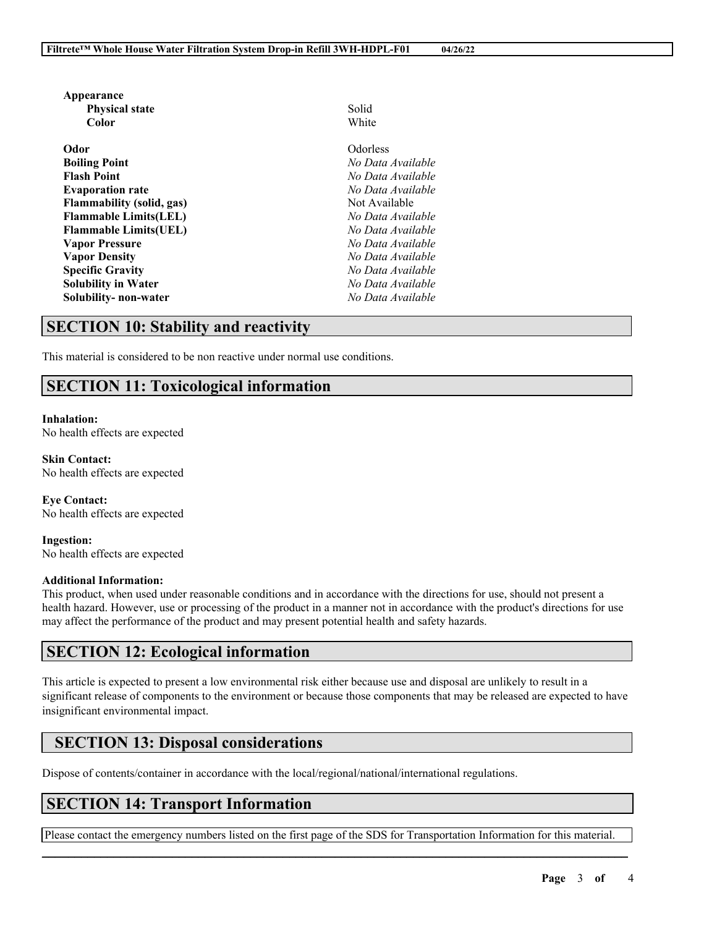| Appearance                       |                   |
|----------------------------------|-------------------|
| <b>Physical state</b>            | Solid             |
| Color                            | White             |
| Odor                             | <b>Odorless</b>   |
| <b>Boiling Point</b>             | No Data Available |
| <b>Flash Point</b>               | No Data Available |
| <b>Evaporation rate</b>          | No Data Available |
| <b>Flammability (solid, gas)</b> | Not Available     |
| <b>Flammable Limits(LEL)</b>     | No Data Available |
| <b>Flammable Limits(UEL)</b>     | No Data Available |
| <b>Vapor Pressure</b>            | No Data Available |
| <b>Vapor Density</b>             | No Data Available |
| <b>Specific Gravity</b>          | No Data Available |
| <b>Solubility in Water</b>       | No Data Available |
| Solubility- non-water            | No Data Available |

### **SECTION 10: Stability and reactivity**

This material is considered to be non reactive under normal use conditions.

# **SECTION 11: Toxicological information**

**Inhalation:** No health effects are expected

**Skin Contact:** No health effects are expected

**Eye Contact:** No health effects are expected

**Ingestion:** No health effects are expected

### **Additional Information:**

This product, when used under reasonable conditions and in accordance with the directions for use, should not present a health hazard. However, use or processing of the product in a manner not in accordance with the product's directions for use may affect the performance of the product and may present potential health and safety hazards.

# **SECTION 12: Ecological information**

This article is expected to present a low environmental risk either because use and disposal are unlikely to result in a significant release of components to the environment or because those components that may be released are expected to have insignificant environmental impact.

# **SECTION 13: Disposal considerations**

Dispose of contents/container in accordance with the local/regional/national/international regulations.

# **SECTION 14: Transport Information**

 $\mathcal{L}_\mathcal{L} = \mathcal{L}_\mathcal{L} = \mathcal{L}_\mathcal{L} = \mathcal{L}_\mathcal{L} = \mathcal{L}_\mathcal{L} = \mathcal{L}_\mathcal{L} = \mathcal{L}_\mathcal{L} = \mathcal{L}_\mathcal{L} = \mathcal{L}_\mathcal{L} = \mathcal{L}_\mathcal{L} = \mathcal{L}_\mathcal{L} = \mathcal{L}_\mathcal{L} = \mathcal{L}_\mathcal{L} = \mathcal{L}_\mathcal{L} = \mathcal{L}_\mathcal{L} = \mathcal{L}_\mathcal{L} = \mathcal{L}_\mathcal{L}$ Please contact the emergency numbers listed on the first page of the SDS for Transportation Information for this material.